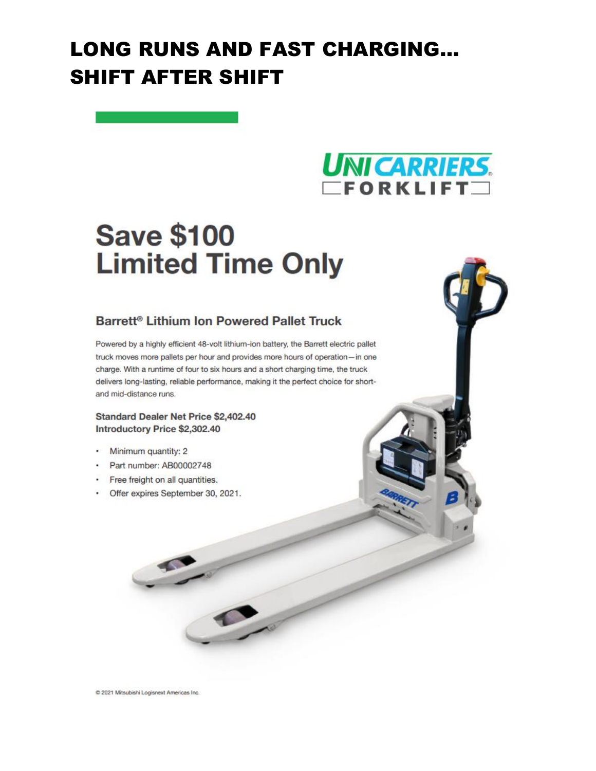### **LONG RUNS AND FAST CHARGING... SHIFT AFTER SHIFT**



# **Save \$100 Limited Time Only**

### Barrett<sup>®</sup> Lithium Ion Powered Pallet Truck

Powered by a highly efficient 48-volt lithium-ion battery, the Barrett electric pallet truck moves more pallets per hour and provides more hours of operation-in one charge. With a runtime of four to six hours and a short charging time, the truck delivers long-lasting, reliable performance, making it the perfect choice for shortand mid-distance runs.

#### Standard Dealer Net Price \$2,402.40 Introductory Price \$2,302.40

- Minimum quantity: 2
- Part number: AB00002748
- Free freight on all quantities.
- Offer expires September 30, 2021.

C 2021 Mitsubishi Logisnext Americas Inc.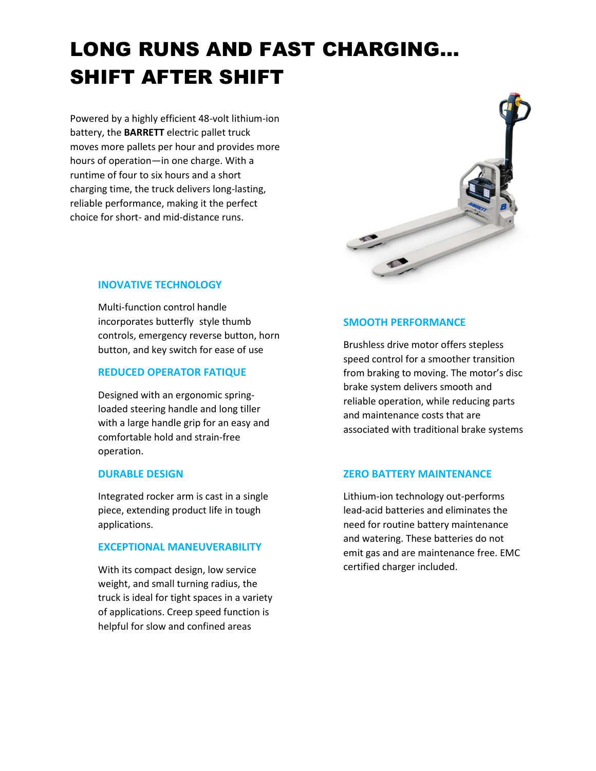## LONG RUNS AND FAST CHARGING… SHIFT AFTER SHIFT

Powered by a highly efficient 48-volt lithium-ion battery, the **BARRETT** electric pallet truck moves more pallets per hour and provides more hours of operation—in one charge. With a runtime of four to six hours and a short charging time, the truck delivers long-lasting, reliable performance, making it the perfect choice for short- and mid-distance runs.



#### **INOVATIVE TECHNOLOGY**

Multi-function control handle incorporates butterfly style thumb controls, emergency reverse button, horn button, and key switch for ease of use

#### **REDUCED OPERATOR FATIQUE**

Designed with an ergonomic springloaded steering handle and long tiller with a large handle grip for an easy and comfortable hold and strain-free operation.

#### **DURABLE DESIGN**

Integrated rocker arm is cast in a single piece, extending product life in tough applications.

#### **EXCEPTIONAL MANEUVERABILITY**

With its compact design, low service weight, and small turning radius, the truck is ideal for tight spaces in a variety of applications. Creep speed function is helpful for slow and confined areas

#### **SMOOTH PERFORMANCE**

Brushless drive motor offers stepless speed control for a smoother transition from braking to moving. The motor's disc brake system delivers smooth and reliable operation, while reducing parts and maintenance costs that are associated with traditional brake systems

#### **ZERO BATTERY MAINTENANCE**

Lithium-ion technology out-performs lead-acid batteries and eliminates the need for routine battery maintenance and watering. These batteries do not emit gas and are maintenance free. EMC certified charger included.